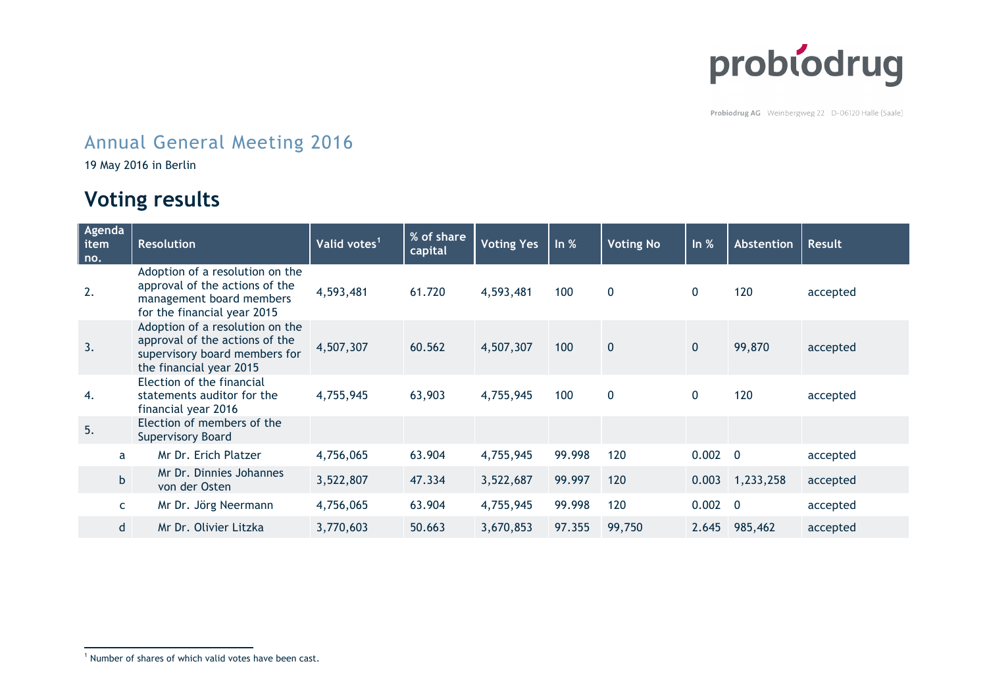

Probiodrug AG Weinbergweg 22 D-06120 Halle (Saale)

## Annual General Meeting 2016

19 May 2016 in Berlin

## **Voting results**

| Agenda<br>item<br>no. | <b>Resolution</b>                                                                                                             | Valid votes <sup>1</sup> | % of share<br>capital | <b>Voting Yes</b> | ln %   | <b>Voting No</b> | In $%$       | Abstention     | Result   |
|-----------------------|-------------------------------------------------------------------------------------------------------------------------------|--------------------------|-----------------------|-------------------|--------|------------------|--------------|----------------|----------|
| 2.                    | Adoption of a resolution on the<br>approval of the actions of the<br>management board members<br>for the financial year 2015  | 4,593,481                | 61.720                | 4,593,481         | 100    | $\mathbf 0$      | 0            | 120            | accepted |
| 3.                    | Adoption of a resolution on the<br>approval of the actions of the<br>supervisory board members for<br>the financial year 2015 | 4,507,307                | 60.562                | 4,507,307         | 100    | $\mathbf{0}$     | $\mathbf{0}$ | 99,870         | accepted |
| 4.                    | Election of the financial<br>statements auditor for the<br>financial year 2016                                                | 4,755,945                | 63,903                | 4,755,945         | 100    | $\mathbf 0$      | $\mathbf{0}$ | 120            | accepted |
| 5.                    | Election of members of the<br><b>Supervisory Board</b>                                                                        |                          |                       |                   |        |                  |              |                |          |
| a                     | Mr Dr. Erich Platzer                                                                                                          | 4,756,065                | 63.904                | 4,755,945         | 99.998 | 120              | 0.002        | $\overline{0}$ | accepted |
| b                     | Mr Dr. Dinnies Johannes<br>von der Osten                                                                                      | 3,522,807                | 47.334                | 3,522,687         | 99.997 | 120              | 0.003        | 1,233,258      | accepted |
| C.                    | Mr Dr. Jörg Neermann                                                                                                          | 4,756,065                | 63.904                | 4,755,945         | 99.998 | 120              | 0.002        | $\overline{0}$ | accepted |
| d                     | Mr Dr. Olivier Litzka                                                                                                         | 3,770,603                | 50.663                | 3,670,853         | 97.355 | 99,750           | 2.645        | 985,462        | accepted |

<sup>&</sup>lt;sup>1</sup> Number of shares of which valid votes have been cast.